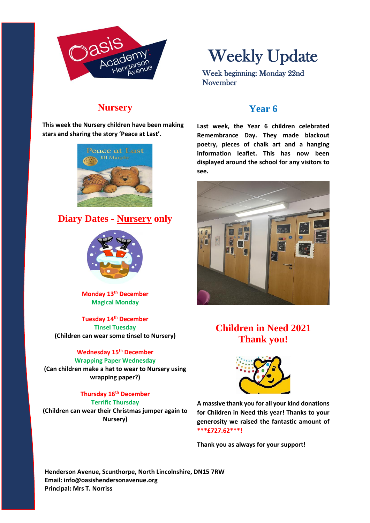

Weekly Update

Week beginning: Monday 22nd November

## **Nursery**

**This week the Nursery children have been making stars and sharing the story 'Peace at Last'.**



## **Diary Dates - Nursery only**



**Monday 13th December Magical Monday**

**Tuesday 14th December Tinsel Tuesday (Children can wear some tinsel to Nursery)**

#### **Wednesday 15th December**

**Wrapping Paper Wednesday (Can children make a hat to wear to Nursery using wrapping paper?)**

> **Thursday 16th December Terrific Thursday**

**(Children can wear their Christmas jumper again to Nursery)**

#### **Year 6**

**Last week, the Year 6 children celebrated Remembrance Day. They made blackout poetry, pieces of chalk art and a hanging information leaflet. This has now been displayed around the school for any visitors to see.**



# **Children in Need 2021 Thank you!**



**A massive thank you for all your kind donations for Children in Need this year! Thanks to your generosity we raised the fantastic amount of \*\*\*£727.62\*\*\*!**

**Thank you as always for your support!**

**Henderson Avenue, Scunthorpe, North Lincolnshire, DN15 7RW Email: info@oasishendersonavenue.org Principal: Mrs T. Norriss**